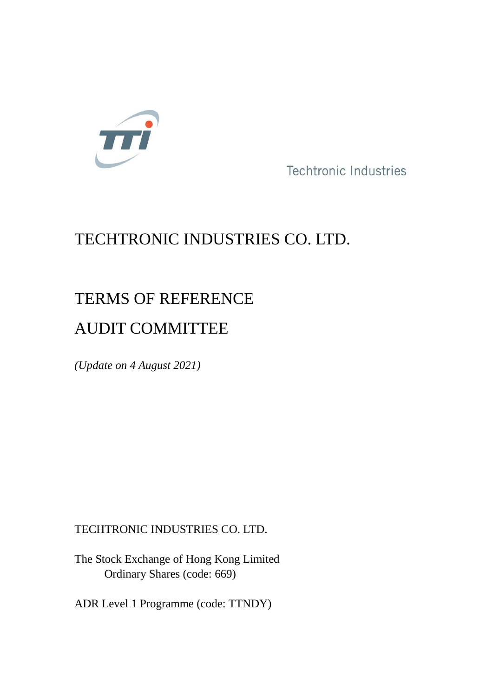

**Techtronic Industries** 

# TECHTRONIC INDUSTRIES CO. LTD.

## TERMS OF REFERENCE

## AUDIT COMMITTEE

*(Update on 4 August 2021)*

## TECHTRONIC INDUSTRIES CO. LTD.

The Stock Exchange of Hong Kong Limited Ordinary Shares (code: 669)

ADR Level 1 Programme (code: TTNDY)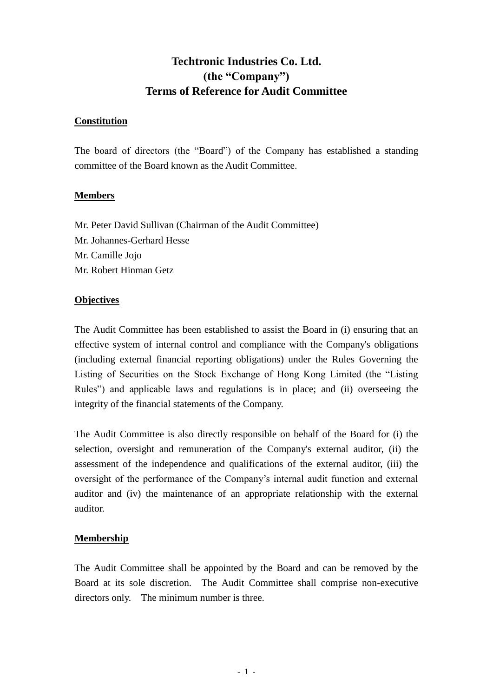### **Techtronic Industries Co. Ltd. (the "Company") Terms of Reference for Audit Committee**

#### **Constitution**

The board of directors (the "Board") of the Company has established a standing committee of the Board known as the Audit Committee.

#### **Members**

Mr. Peter David Sullivan (Chairman of the Audit Committee) Mr. Johannes-Gerhard Hesse Mr. Camille Jojo Mr. Robert Hinman Getz

#### **Objectives**

The Audit Committee has been established to assist the Board in (i) ensuring that an effective system of internal control and compliance with the Company's obligations (including external financial reporting obligations) under the Rules Governing the Listing of Securities on the Stock Exchange of Hong Kong Limited (the "Listing Rules") and applicable laws and regulations is in place; and (ii) overseeing the integrity of the financial statements of the Company.

The Audit Committee is also directly responsible on behalf of the Board for (i) the selection, oversight and remuneration of the Company's external auditor, (ii) the assessment of the independence and qualifications of the external auditor, (iii) the oversight of the performance of the Company's internal audit function and external auditor and (iv) the maintenance of an appropriate relationship with the external auditor.

#### **Membership**

The Audit Committee shall be appointed by the Board and can be removed by the Board at its sole discretion. The Audit Committee shall comprise non-executive directors only. The minimum number is three.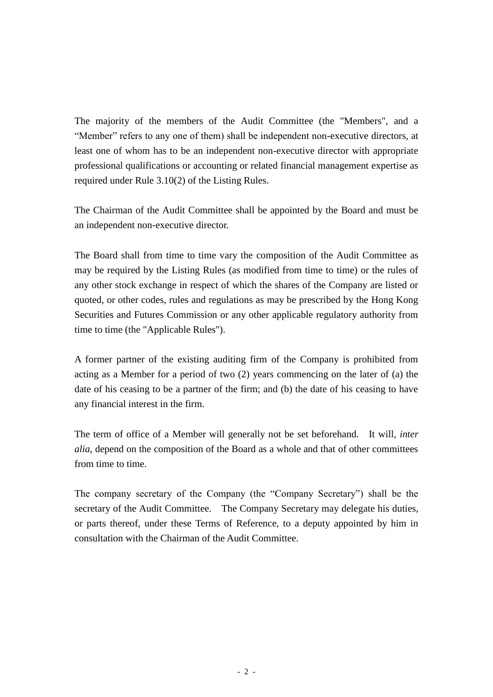The majority of the members of the Audit Committee (the "Members", and a "Member" refers to any one of them) shall be independent non-executive directors, at least one of whom has to be an independent non-executive director with appropriate professional qualifications or accounting or related financial management expertise as required under Rule 3.10(2) of the Listing Rules.

The Chairman of the Audit Committee shall be appointed by the Board and must be an independent non-executive director.

The Board shall from time to time vary the composition of the Audit Committee as may be required by the Listing Rules (as modified from time to time) or the rules of any other stock exchange in respect of which the shares of the Company are listed or quoted, or other codes, rules and regulations as may be prescribed by the Hong Kong Securities and Futures Commission or any other applicable regulatory authority from time to time (the "Applicable Rules").

A former partner of the existing auditing firm of the Company is prohibited from acting as a Member for a period of two (2) years commencing on the later of (a) the date of his ceasing to be a partner of the firm; and (b) the date of his ceasing to have any financial interest in the firm.

The term of office of a Member will generally not be set beforehand. It will, *inter alia*, depend on the composition of the Board as a whole and that of other committees from time to time.

The company secretary of the Company (the "Company Secretary") shall be the secretary of the Audit Committee. The Company Secretary may delegate his duties, or parts thereof, under these Terms of Reference, to a deputy appointed by him in consultation with the Chairman of the Audit Committee.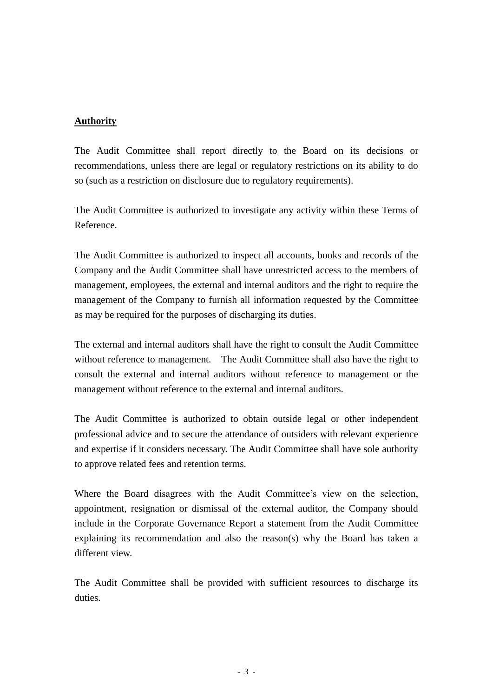#### **Authority**

The Audit Committee shall report directly to the Board on its decisions or recommendations, unless there are legal or regulatory restrictions on its ability to do so (such as a restriction on disclosure due to regulatory requirements).

The Audit Committee is authorized to investigate any activity within these Terms of Reference.

The Audit Committee is authorized to inspect all accounts, books and records of the Company and the Audit Committee shall have unrestricted access to the members of management, employees, the external and internal auditors and the right to require the management of the Company to furnish all information requested by the Committee as may be required for the purposes of discharging its duties.

The external and internal auditors shall have the right to consult the Audit Committee without reference to management. The Audit Committee shall also have the right to consult the external and internal auditors without reference to management or the management without reference to the external and internal auditors.

The Audit Committee is authorized to obtain outside legal or other independent professional advice and to secure the attendance of outsiders with relevant experience and expertise if it considers necessary. The Audit Committee shall have sole authority to approve related fees and retention terms.

Where the Board disagrees with the Audit Committee's view on the selection, appointment, resignation or dismissal of the external auditor, the Company should include in the Corporate Governance Report a statement from the Audit Committee explaining its recommendation and also the reason(s) why the Board has taken a different view.

The Audit Committee shall be provided with sufficient resources to discharge its duties.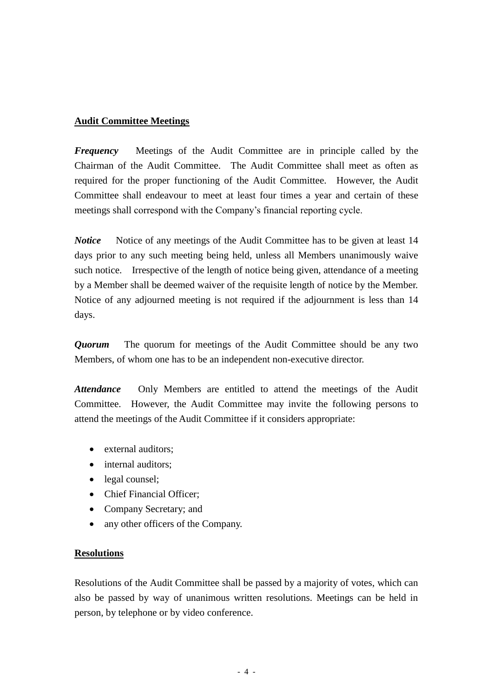#### **Audit Committee Meetings**

*Frequency* Meetings of the Audit Committee are in principle called by the Chairman of the Audit Committee. The Audit Committee shall meet as often as required for the proper functioning of the Audit Committee. However, the Audit Committee shall endeavour to meet at least four times a year and certain of these meetings shall correspond with the Company's financial reporting cycle.

*Notice* • Notice of any meetings of the Audit Committee has to be given at least 14 days prior to any such meeting being held, unless all Members unanimously waive such notice. Irrespective of the length of notice being given, attendance of a meeting by a Member shall be deemed waiver of the requisite length of notice by the Member. Notice of any adjourned meeting is not required if the adjournment is less than 14 days.

*Quorum* The quorum for meetings of the Audit Committee should be any two Members, of whom one has to be an independent non-executive director.

Attendance Only Members are entitled to attend the meetings of the Audit Committee. However, the Audit Committee may invite the following persons to attend the meetings of the Audit Committee if it considers appropriate:

- external auditors;
- internal auditors;
- legal counsel;
- Chief Financial Officer;
- Company Secretary; and
- any other officers of the Company.

#### **Resolutions**

Resolutions of the Audit Committee shall be passed by a majority of votes, which can also be passed by way of unanimous written resolutions. Meetings can be held in person, by telephone or by video conference.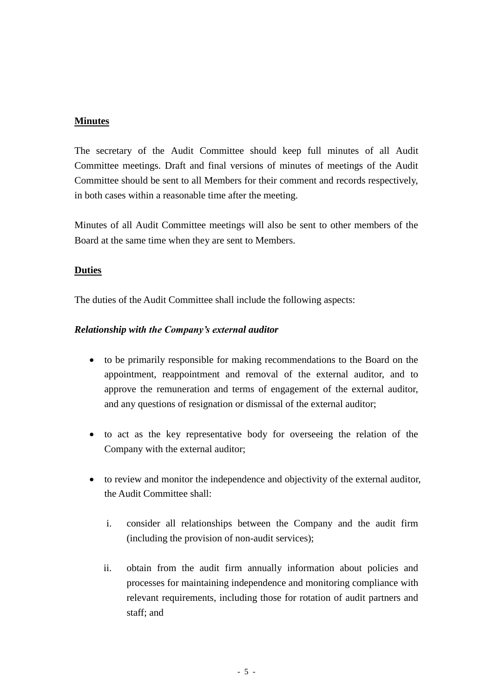#### **Minutes**

The secretary of the Audit Committee should keep full minutes of all Audit Committee meetings. Draft and final versions of minutes of meetings of the Audit Committee should be sent to all Members for their comment and records respectively, in both cases within a reasonable time after the meeting.

Minutes of all Audit Committee meetings will also be sent to other members of the Board at the same time when they are sent to Members.

#### **Duties**

The duties of the Audit Committee shall include the following aspects:

#### *Relationship with the Company's external auditor*

- to be primarily responsible for making recommendations to the Board on the appointment, reappointment and removal of the external auditor, and to approve the remuneration and terms of engagement of the external auditor, and any questions of resignation or dismissal of the external auditor;
- to act as the key representative body for overseeing the relation of the Company with the external auditor;
- to review and monitor the independence and objectivity of the external auditor, the Audit Committee shall:
	- i. consider all relationships between the Company and the audit firm (including the provision of non-audit services);
	- ii. obtain from the audit firm annually information about policies and processes for maintaining independence and monitoring compliance with relevant requirements, including those for rotation of audit partners and staff; and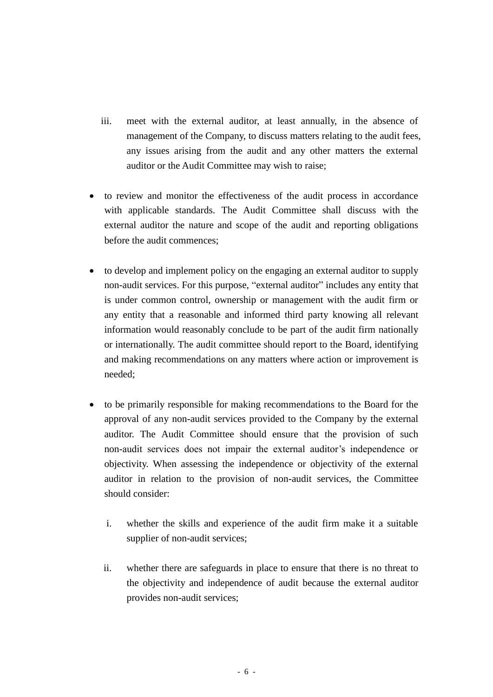- iii. meet with the external auditor, at least annually, in the absence of management of the Company, to discuss matters relating to the audit fees, any issues arising from the audit and any other matters the external auditor or the Audit Committee may wish to raise;
- to review and monitor the effectiveness of the audit process in accordance with applicable standards. The Audit Committee shall discuss with the external auditor the nature and scope of the audit and reporting obligations before the audit commences;
- to develop and implement policy on the engaging an external auditor to supply non-audit services. For this purpose, "external auditor" includes any entity that is under common control, ownership or management with the audit firm or any entity that a reasonable and informed third party knowing all relevant information would reasonably conclude to be part of the audit firm nationally or internationally. The audit committee should report to the Board, identifying and making recommendations on any matters where action or improvement is needed;
- to be primarily responsible for making recommendations to the Board for the approval of any non-audit services provided to the Company by the external auditor. The Audit Committee should ensure that the provision of such non-audit services does not impair the external auditor's independence or objectivity. When assessing the independence or objectivity of the external auditor in relation to the provision of non-audit services, the Committee should consider:
	- i. whether the skills and experience of the audit firm make it a suitable supplier of non-audit services;
	- ii. whether there are safeguards in place to ensure that there is no threat to the objectivity and independence of audit because the external auditor provides non-audit services;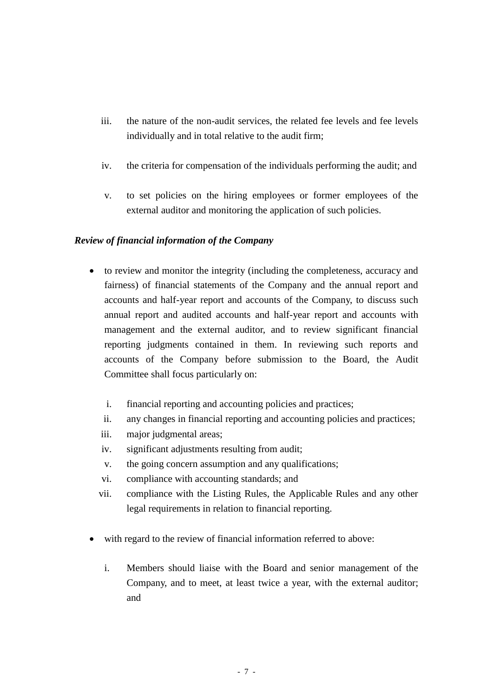- iii. the nature of the non-audit services, the related fee levels and fee levels individually and in total relative to the audit firm;
- iv. the criteria for compensation of the individuals performing the audit; and
- v. to set policies on the hiring employees or former employees of the external auditor and monitoring the application of such policies.

#### *Review of financial information of the Company*

- to review and monitor the integrity (including the completeness, accuracy and fairness) of financial statements of the Company and the annual report and accounts and half-year report and accounts of the Company, to discuss such annual report and audited accounts and half-year report and accounts with management and the external auditor, and to review significant financial reporting judgments contained in them. In reviewing such reports and accounts of the Company before submission to the Board, the Audit Committee shall focus particularly on:
	- i. financial reporting and accounting policies and practices;
	- ii. any changes in financial reporting and accounting policies and practices;
	- iii. major judgmental areas;
	- iv. significant adjustments resulting from audit;
	- v. the going concern assumption and any qualifications;
	- vi. compliance with accounting standards; and
	- vii. compliance with the Listing Rules, the Applicable Rules and any other legal requirements in relation to financial reporting.
- with regard to the review of financial information referred to above:
	- i. Members should liaise with the Board and senior management of the Company, and to meet, at least twice a year, with the external auditor; and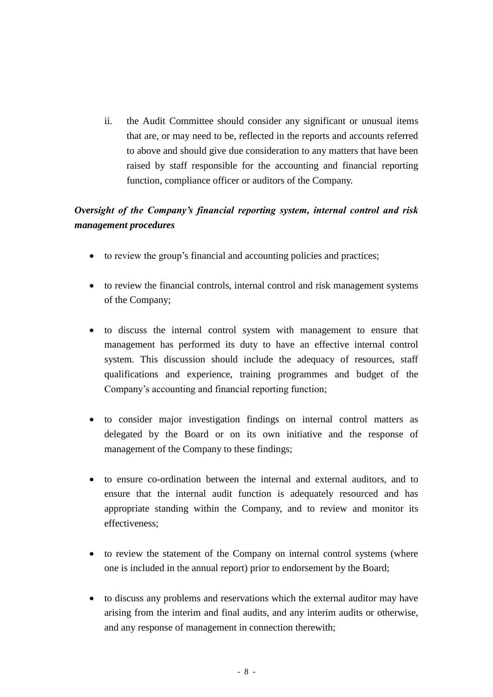ii. the Audit Committee should consider any significant or unusual items that are, or may need to be, reflected in the reports and accounts referred to above and should give due consideration to any matters that have been raised by staff responsible for the accounting and financial reporting function, compliance officer or auditors of the Company.

### *Oversight of the Company's financial reporting system, internal control and risk management procedures*

- to review the group's financial and accounting policies and practices;
- to review the financial controls, internal control and risk management systems of the Company;
- to discuss the internal control system with management to ensure that management has performed its duty to have an effective internal control system. This discussion should include the adequacy of resources, staff qualifications and experience, training programmes and budget of the Company's accounting and financial reporting function;
- to consider major investigation findings on internal control matters as delegated by the Board or on its own initiative and the response of management of the Company to these findings;
- to ensure co-ordination between the internal and external auditors, and to ensure that the internal audit function is adequately resourced and has appropriate standing within the Company, and to review and monitor its effectiveness;
- to review the statement of the Company on internal control systems (where one is included in the annual report) prior to endorsement by the Board;
- to discuss any problems and reservations which the external auditor may have arising from the interim and final audits, and any interim audits or otherwise, and any response of management in connection therewith;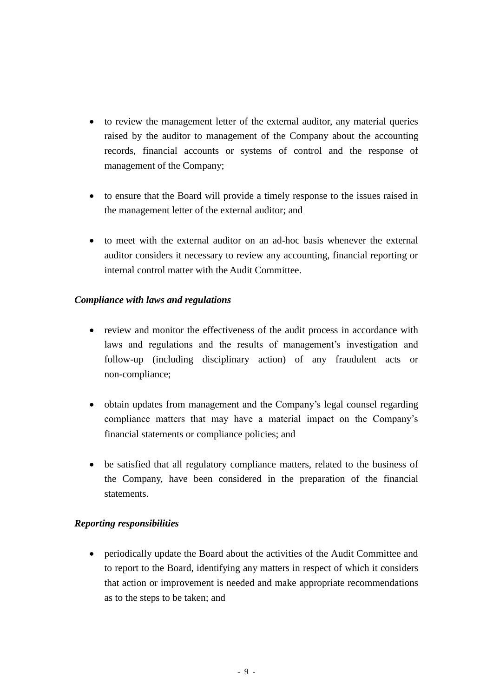- to review the management letter of the external auditor, any material queries raised by the auditor to management of the Company about the accounting records, financial accounts or systems of control and the response of management of the Company;
- to ensure that the Board will provide a timely response to the issues raised in the management letter of the external auditor; and
- to meet with the external auditor on an ad-hoc basis whenever the external auditor considers it necessary to review any accounting, financial reporting or internal control matter with the Audit Committee.

#### *Compliance with laws and regulations*

- review and monitor the effectiveness of the audit process in accordance with laws and regulations and the results of management's investigation and follow-up (including disciplinary action) of any fraudulent acts or non-compliance;
- obtain updates from management and the Company's legal counsel regarding compliance matters that may have a material impact on the Company's financial statements or compliance policies; and
- be satisfied that all regulatory compliance matters, related to the business of the Company, have been considered in the preparation of the financial statements.

#### *Reporting responsibilities*

• periodically update the Board about the activities of the Audit Committee and to report to the Board, identifying any matters in respect of which it considers that action or improvement is needed and make appropriate recommendations as to the steps to be taken; and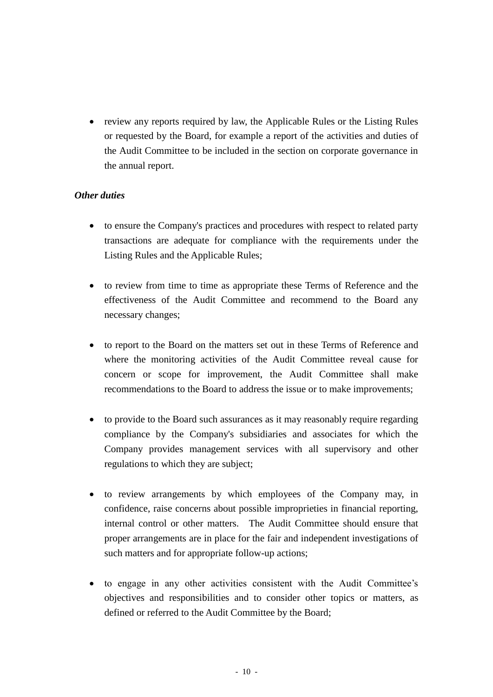• review any reports required by law, the Applicable Rules or the Listing Rules or requested by the Board, for example a report of the activities and duties of the Audit Committee to be included in the section on corporate governance in the annual report.

#### *Other duties*

- to ensure the Company's practices and procedures with respect to related party transactions are adequate for compliance with the requirements under the Listing Rules and the Applicable Rules;
- to review from time to time as appropriate these Terms of Reference and the effectiveness of the Audit Committee and recommend to the Board any necessary changes;
- to report to the Board on the matters set out in these Terms of Reference and where the monitoring activities of the Audit Committee reveal cause for concern or scope for improvement, the Audit Committee shall make recommendations to the Board to address the issue or to make improvements;
- to provide to the Board such assurances as it may reasonably require regarding compliance by the Company's subsidiaries and associates for which the Company provides management services with all supervisory and other regulations to which they are subject;
- to review arrangements by which employees of the Company may, in confidence, raise concerns about possible improprieties in financial reporting, internal control or other matters. The Audit Committee should ensure that proper arrangements are in place for the fair and independent investigations of such matters and for appropriate follow-up actions;
- to engage in any other activities consistent with the Audit Committee's objectives and responsibilities and to consider other topics or matters, as defined or referred to the Audit Committee by the Board;